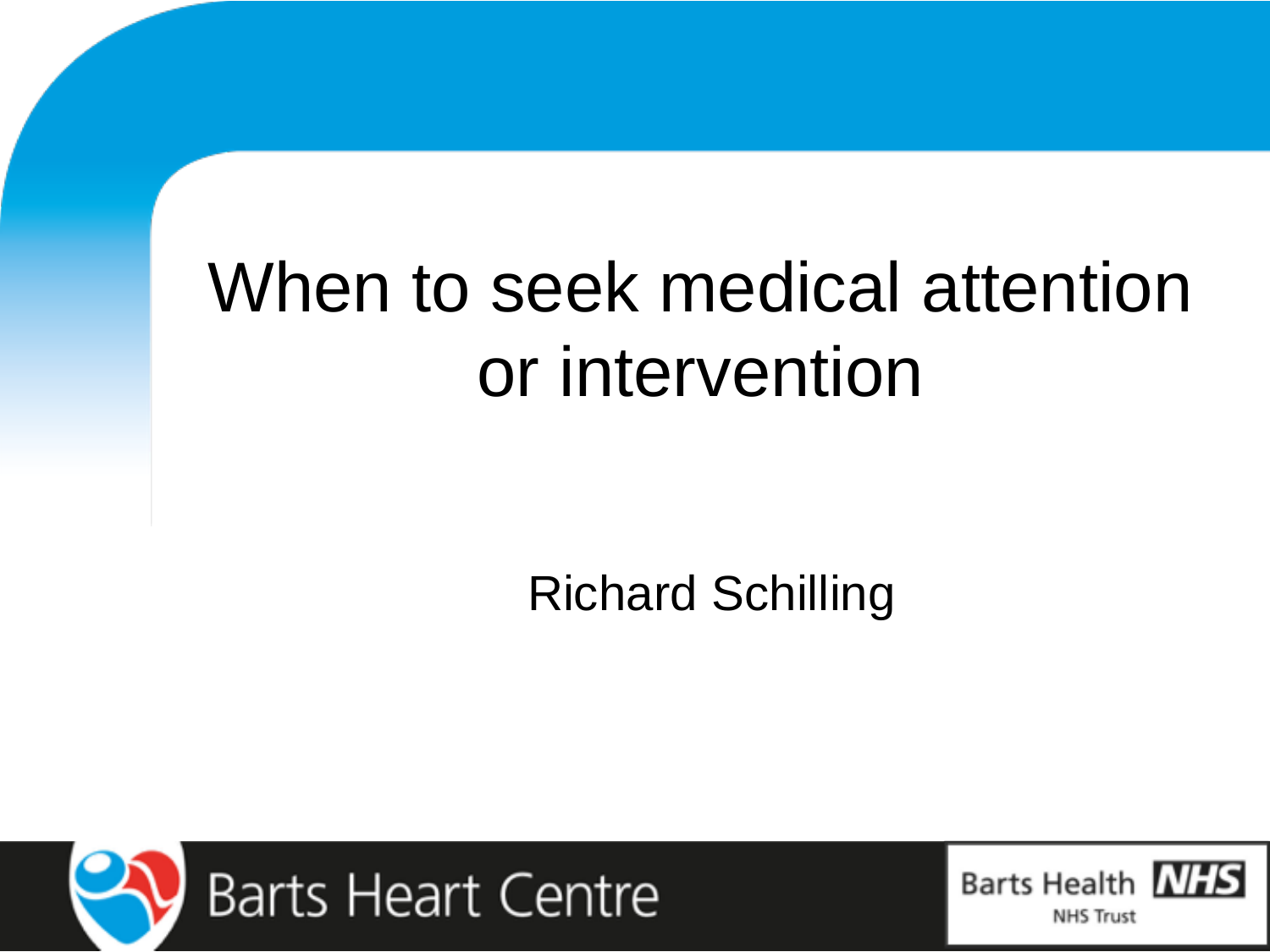# When to seek medical attention or intervention

Richard Schilling



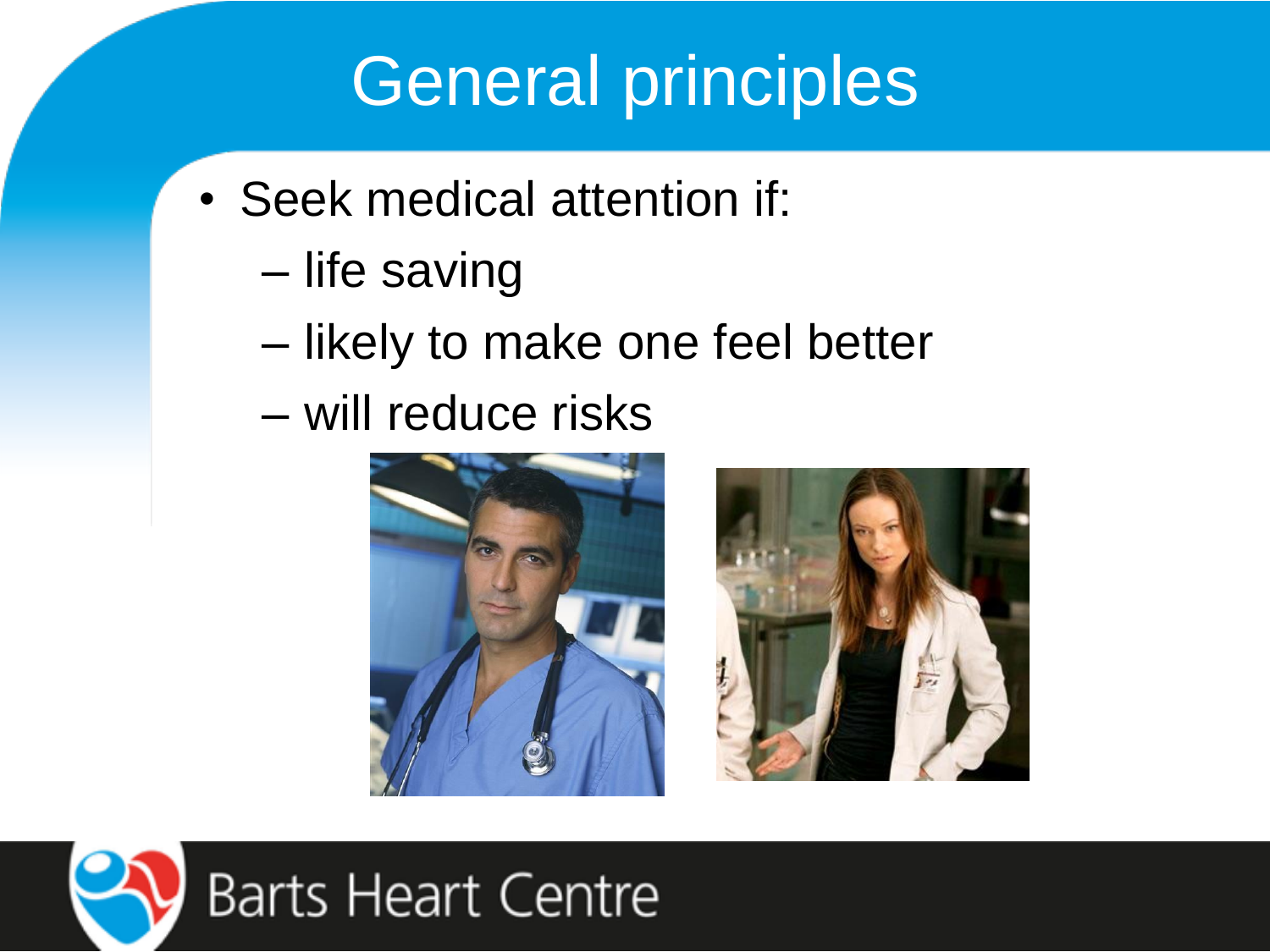## General principles

- Seek medical attention if:
	- life saving
	- likely to make one feel better
	- will reduce risks





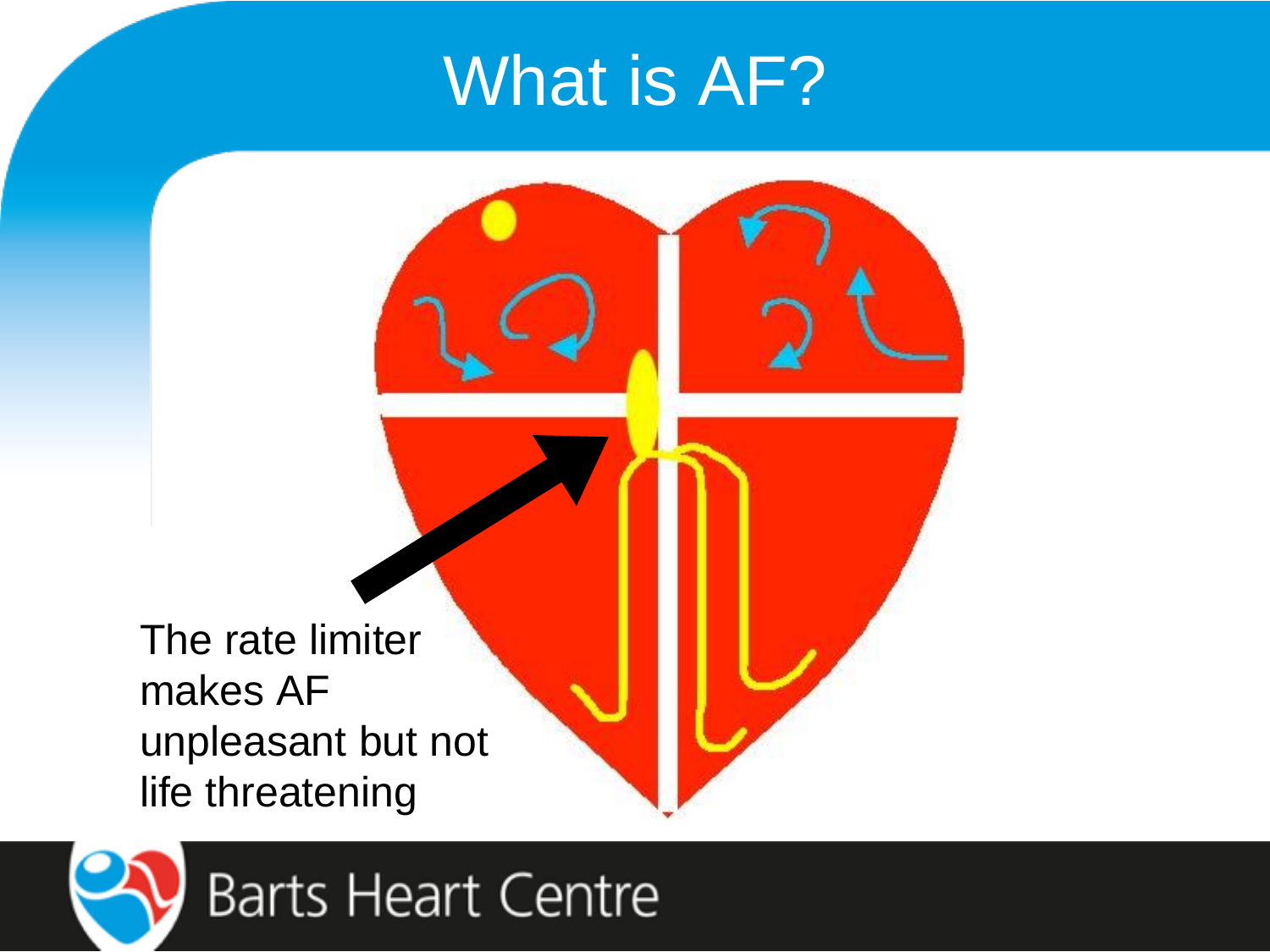## What is AF?

The rate limiter makes AF unpleasant but not life threatening

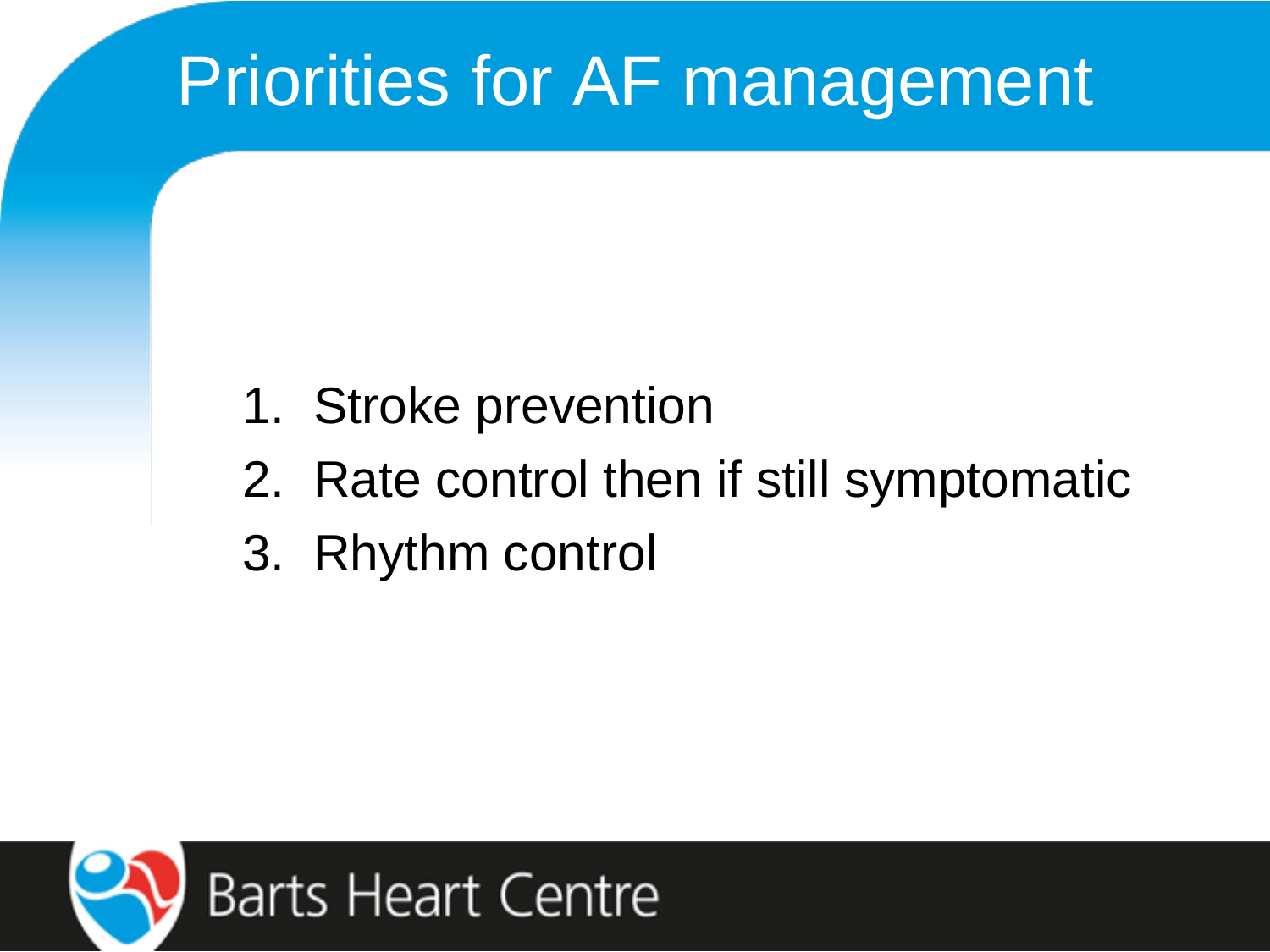# Priorities for AF management

- 1. Stroke prevention
- 2. Rate control then if still symptomatic
- 3. Rhythm control

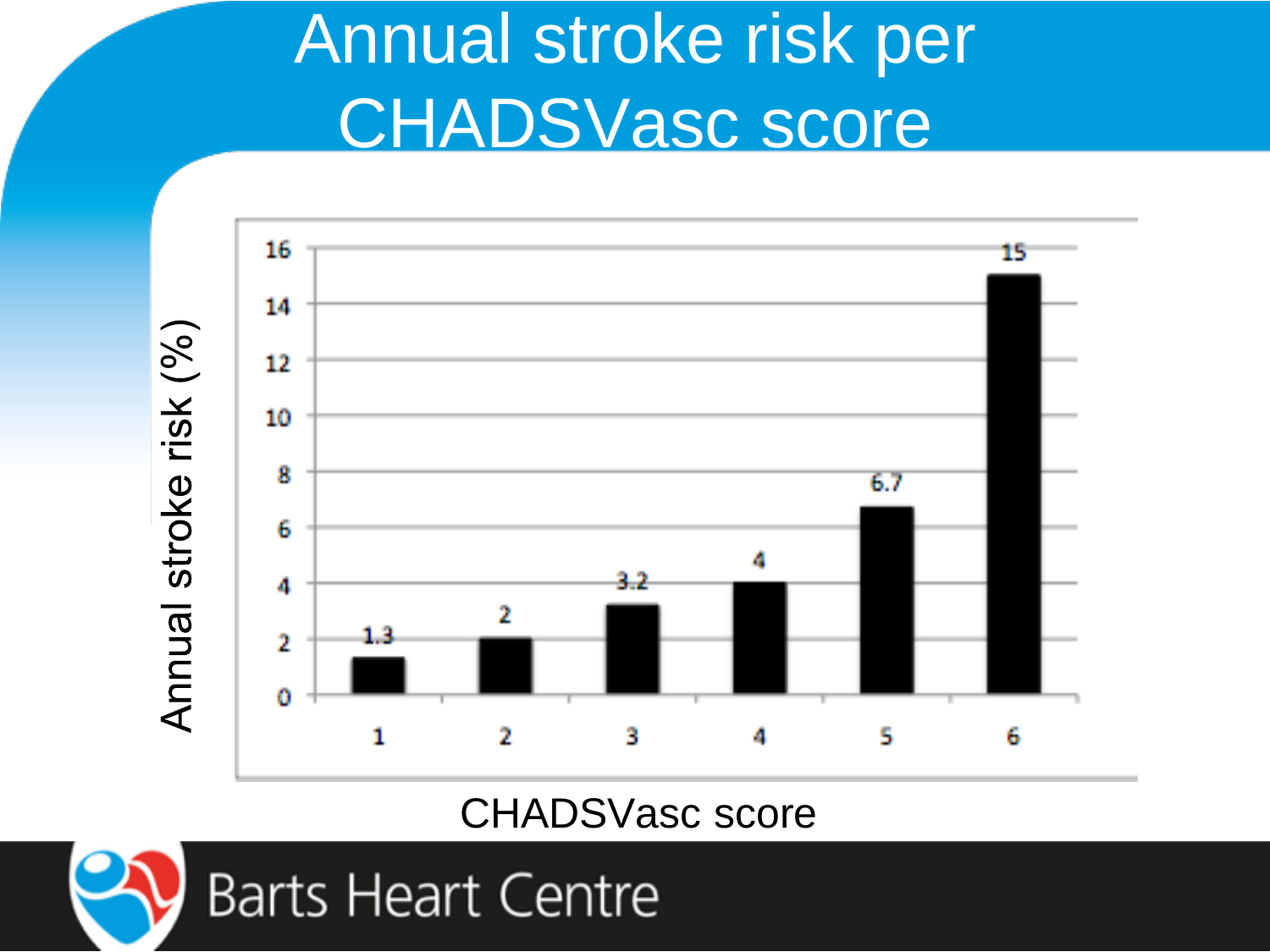## Annual stroke risk per CHADSVasc score



#### CHADSVasc score

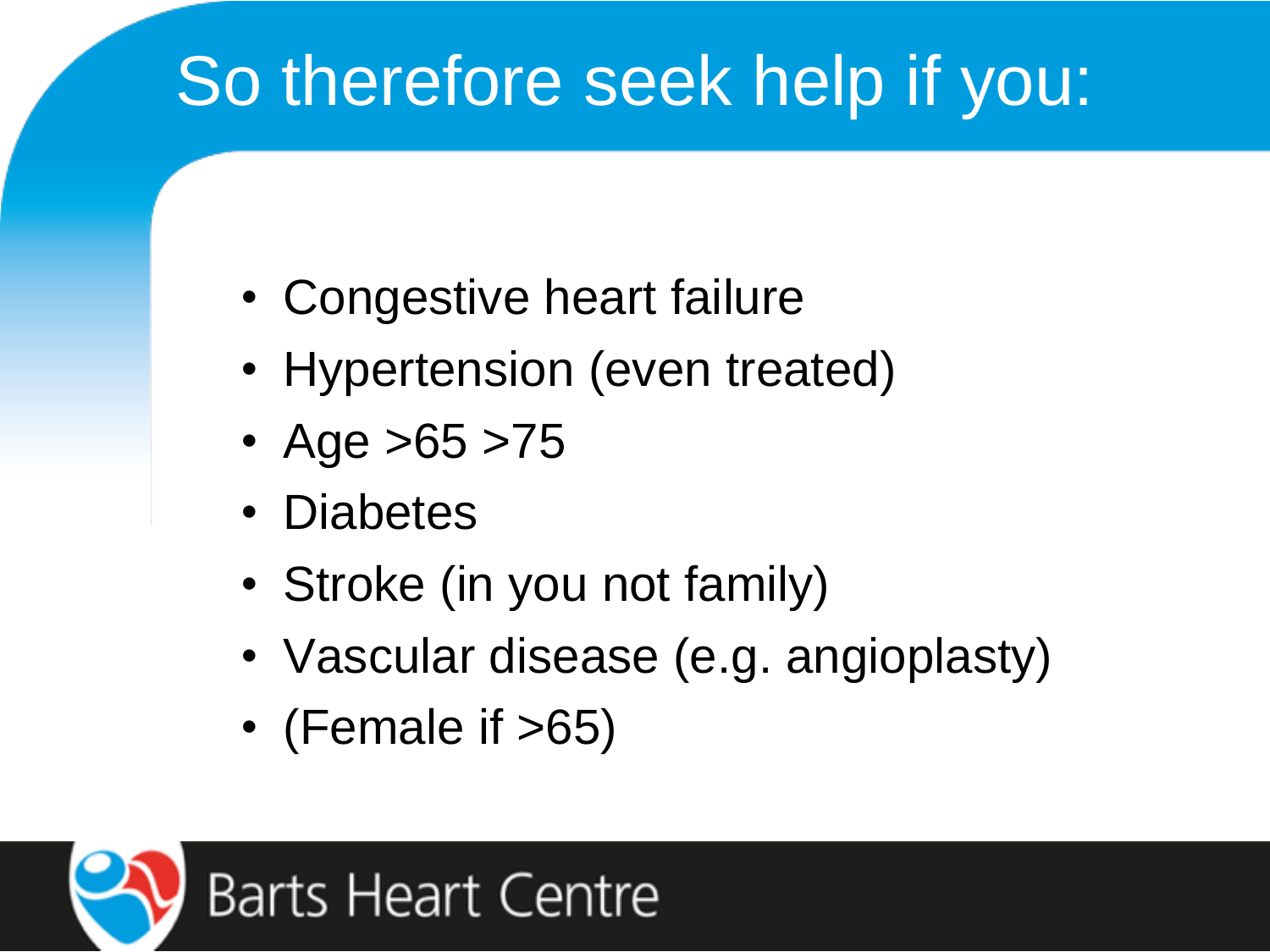# So therefore seek help if you:

- Congestive heart failure
- Hypertension (even treated)
- Age  $>65$   $>75$
- Diabetes
- Stroke (in you not family)
- Vascular disease (e.g. angioplasty)
- (Female if  $>65$ )

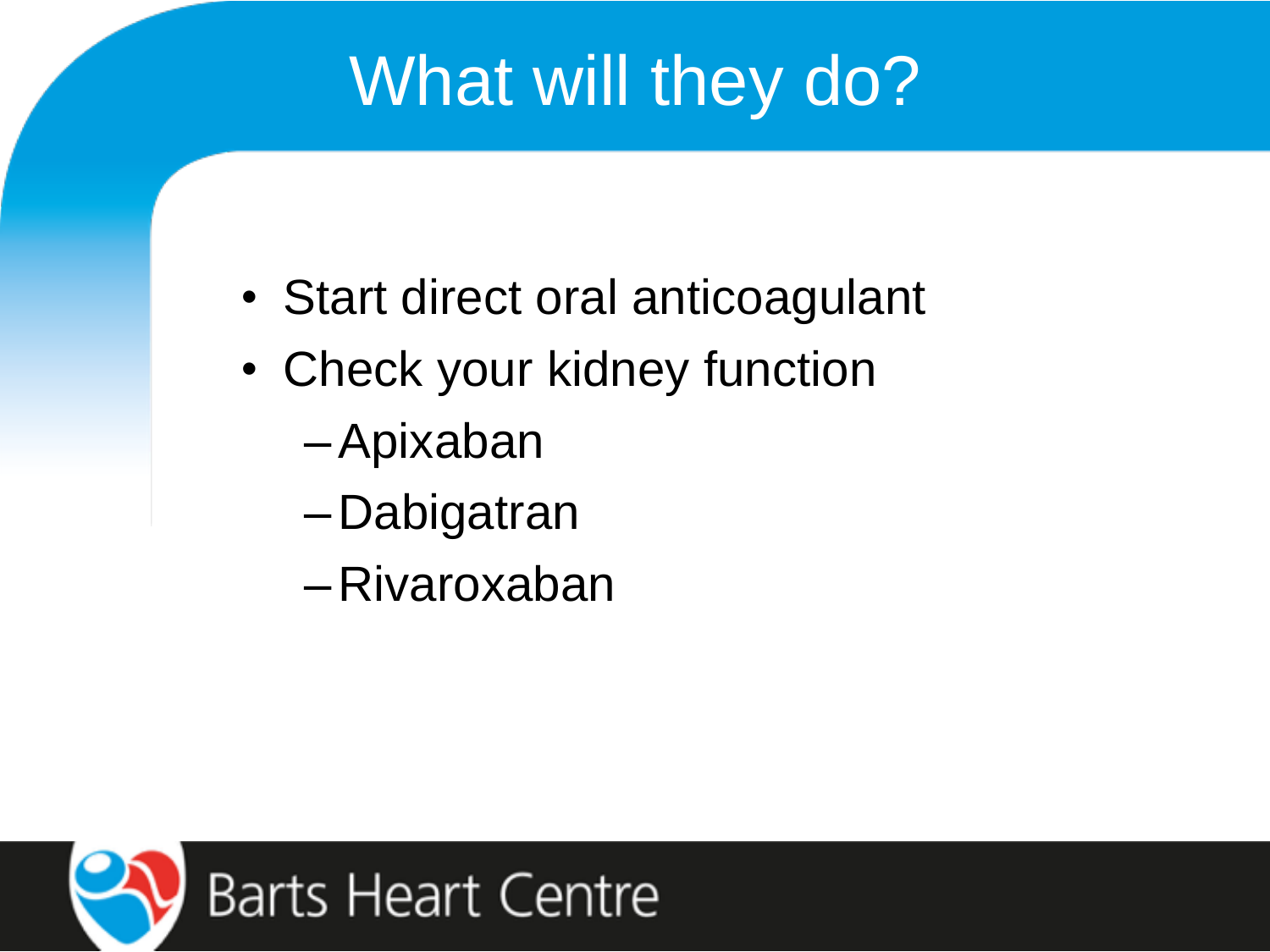# What will they do?

- Start direct oral anticoagulant
- Check your kidney function
	- –Apixaban
	- –Dabigatran
	- –Rivaroxaban

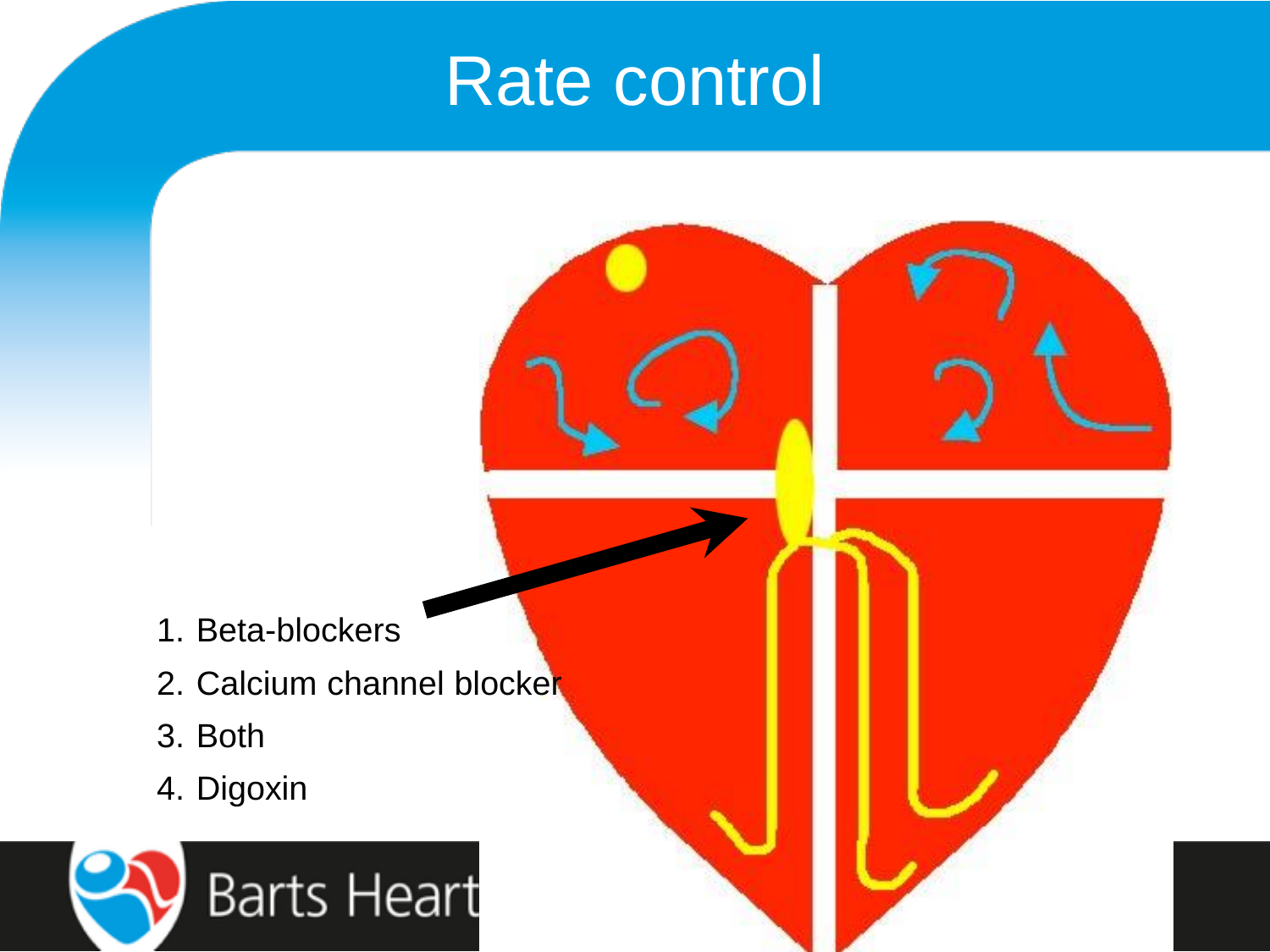### Rate control

- 1. Beta-blockers
- 2. Calcium channel blocker
- 3. Both
- 4. Digoxin

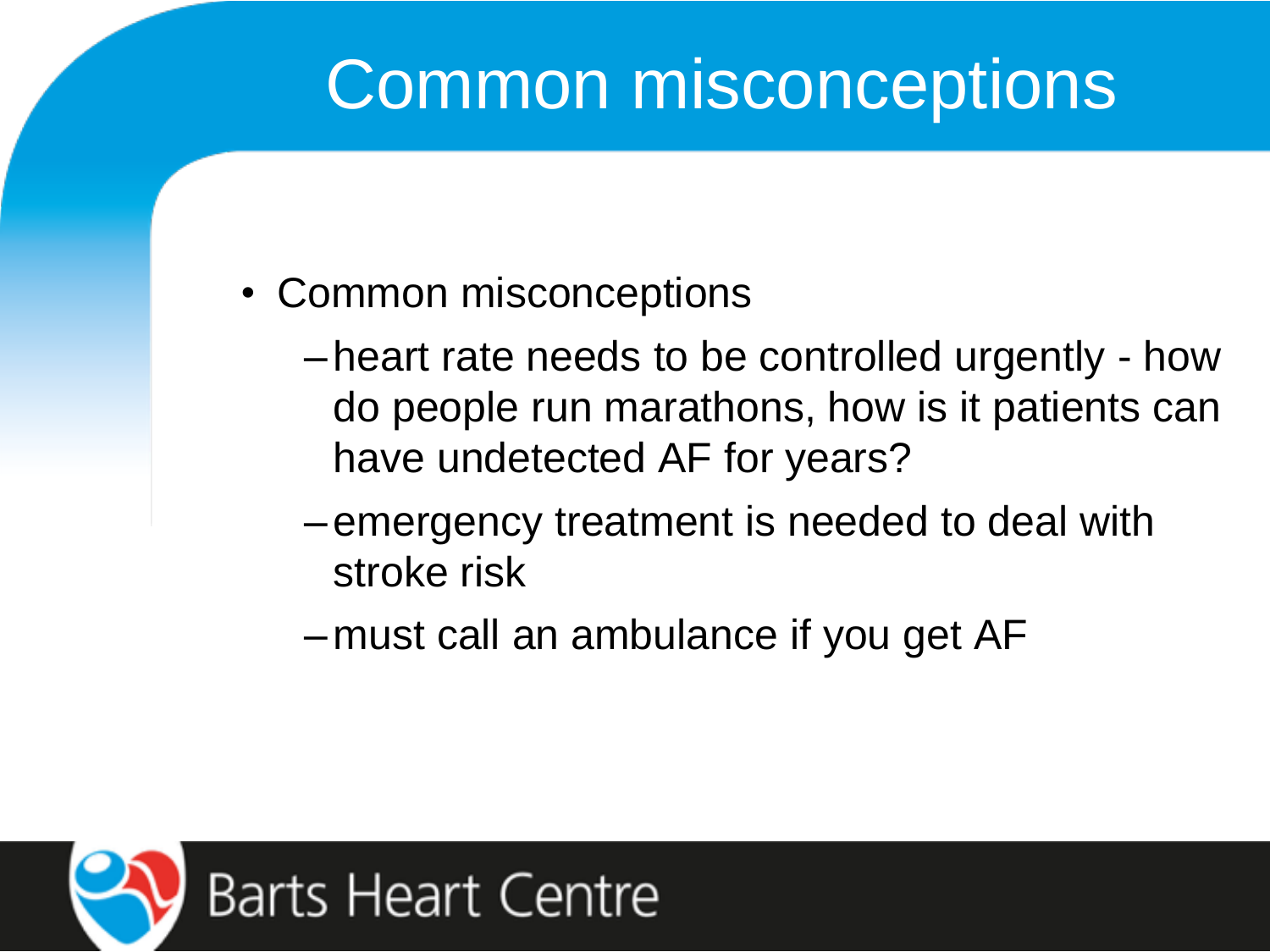## Common misconceptions

- Common misconceptions
	- –heart rate needs to be controlled urgently how do people run marathons, how is it patients can have undetected AF for years?
	- –emergency treatment is needed to deal with stroke risk
	- –must call an ambulance if you get AF

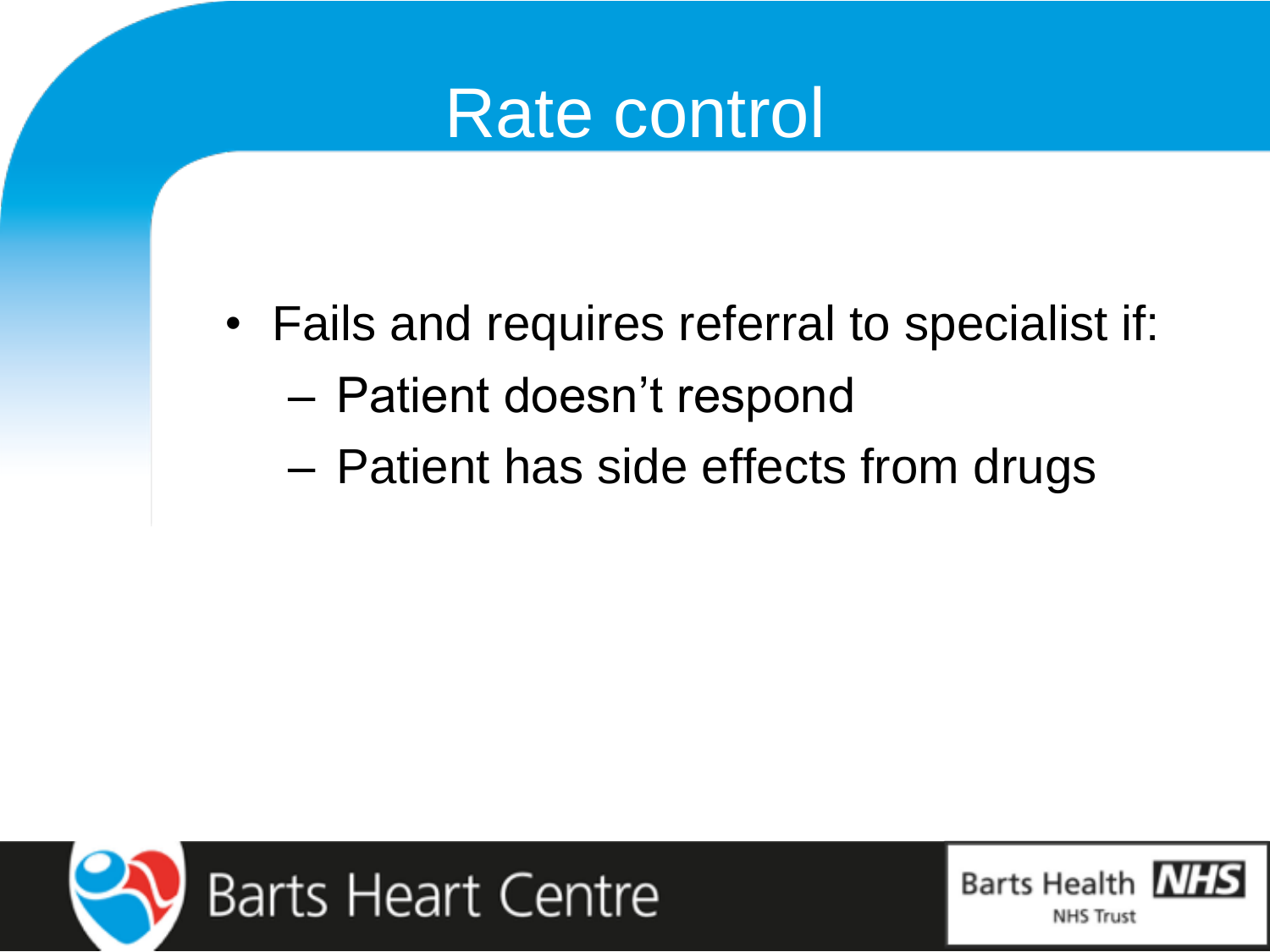

- Fails and requires referral to specialist if:
	- Patient doesn't respond
	- Patient has side effects from drugs



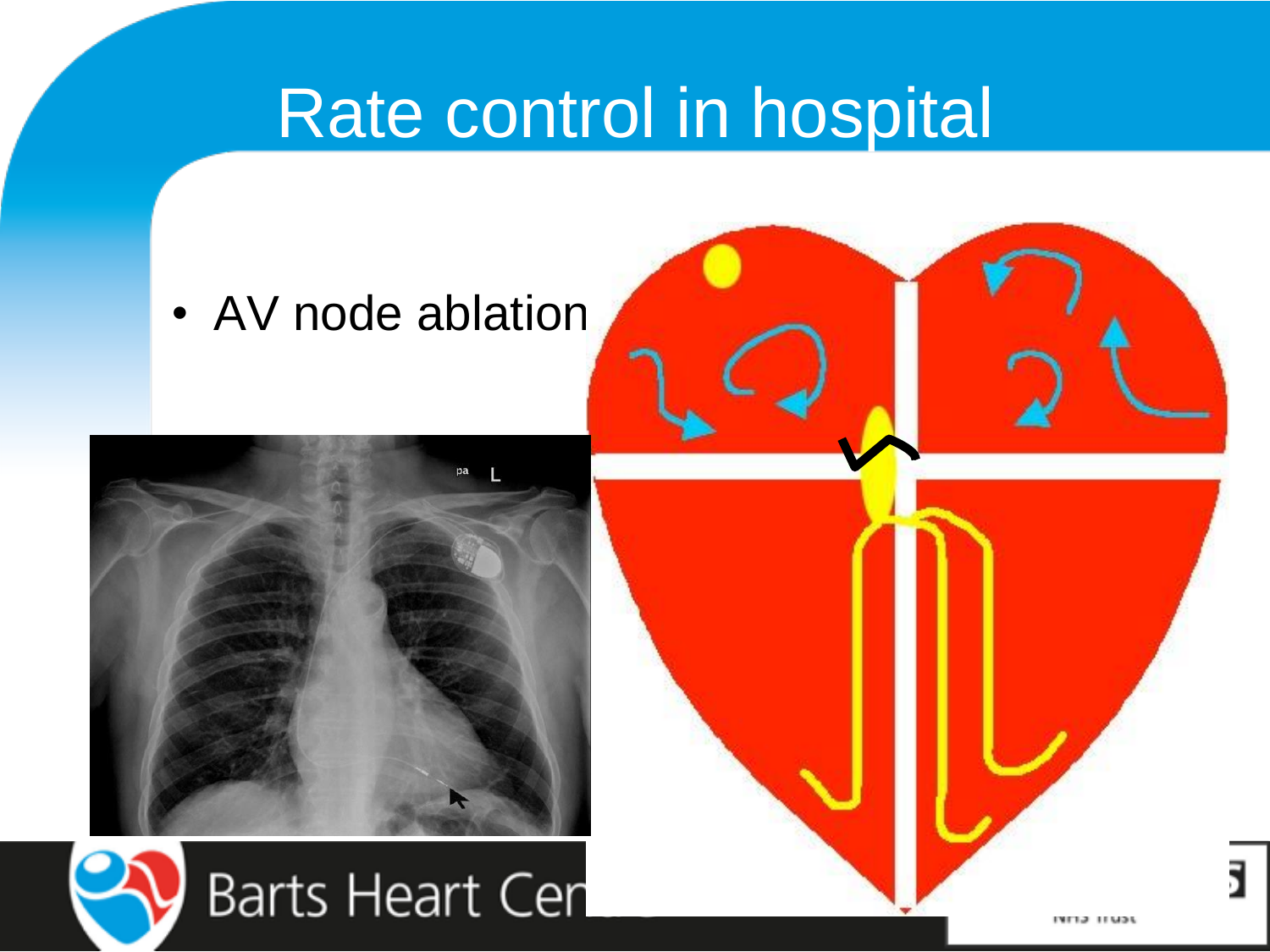## Rate control in hospital

• AV node ablation



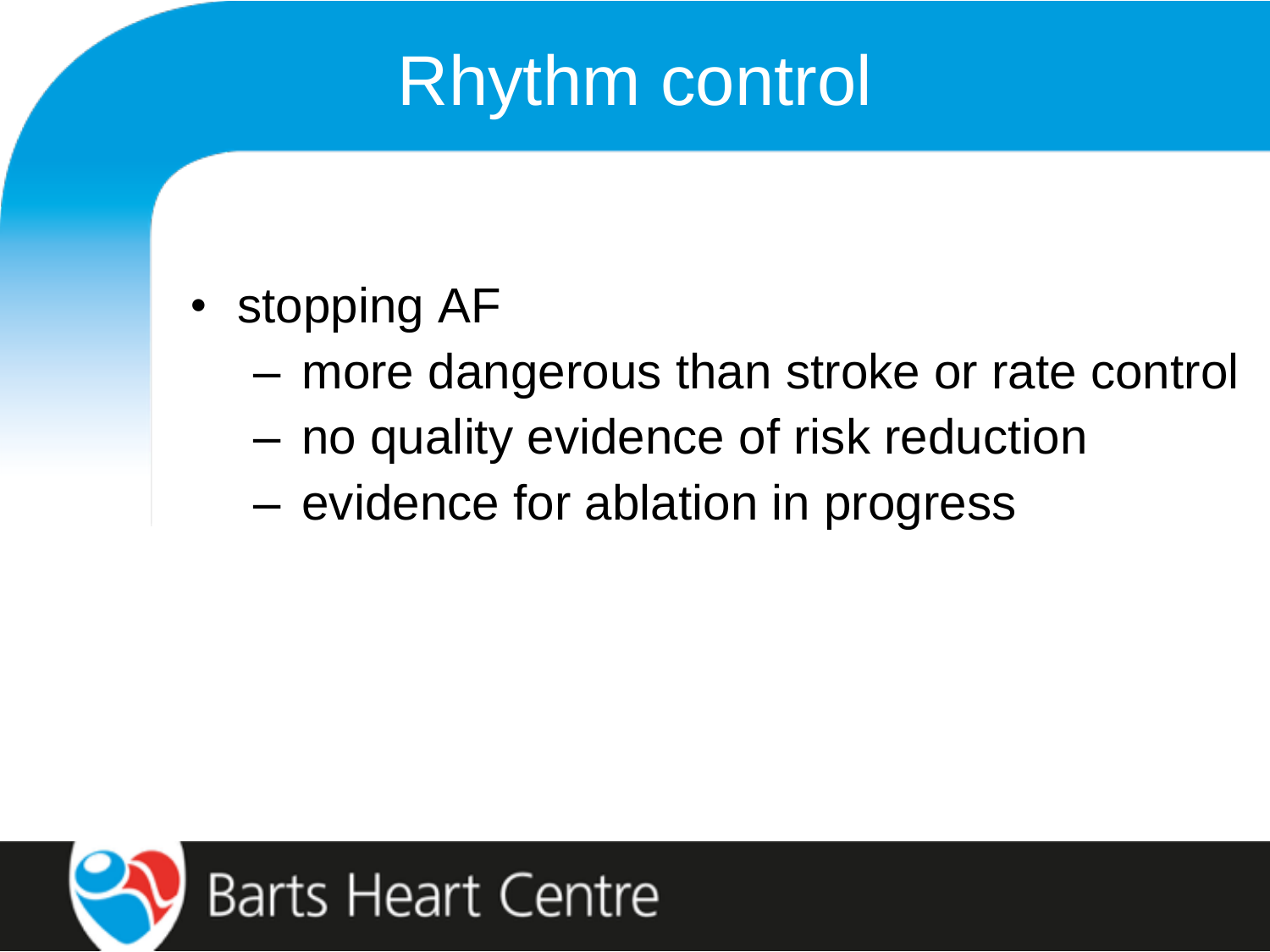## Rhythm control

- stopping AF
	- more dangerous than stroke or rate control
	- no quality evidence of risk reduction
	- evidence for ablation in progress

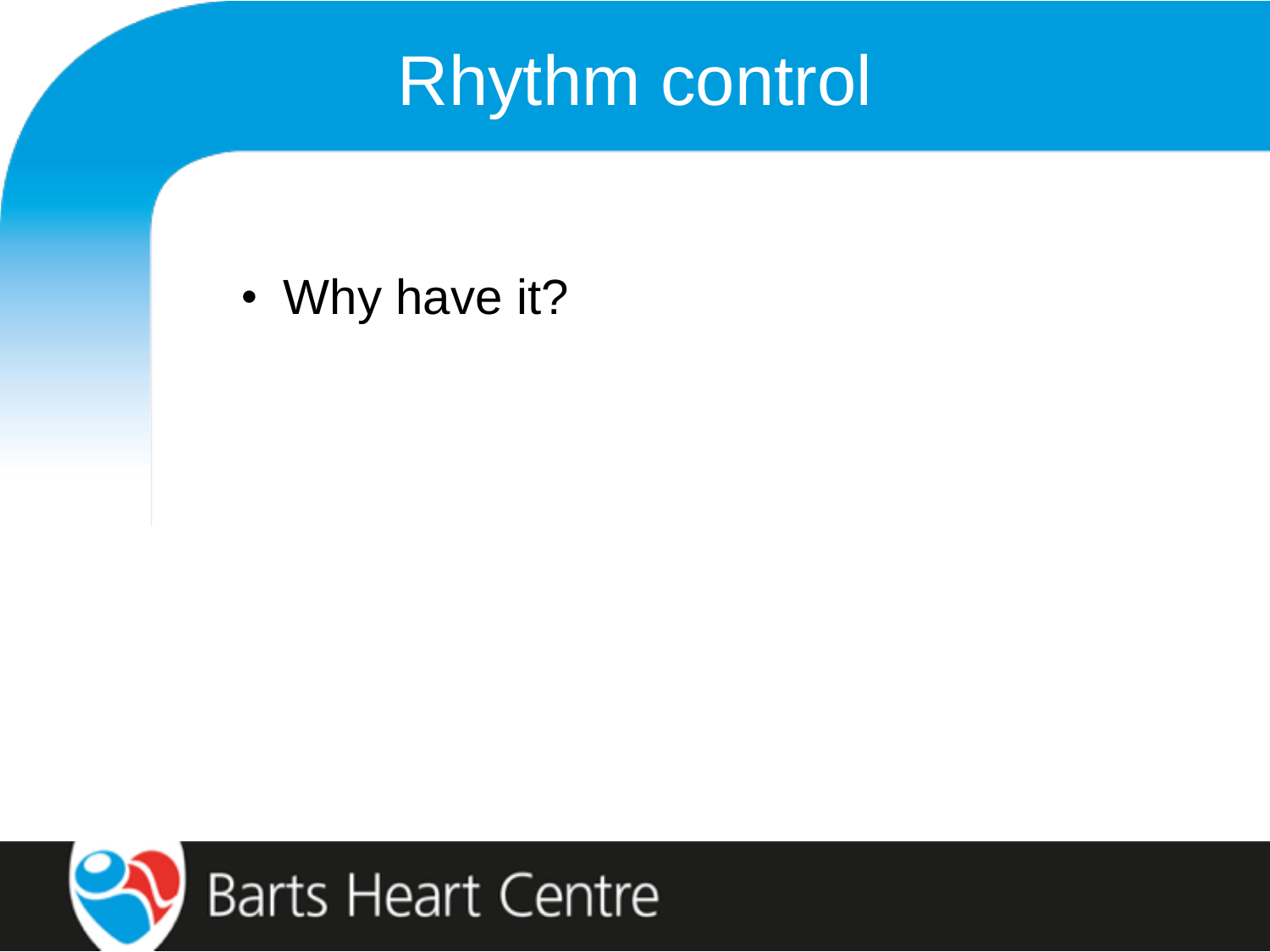## Rhythm control

• Why have it?

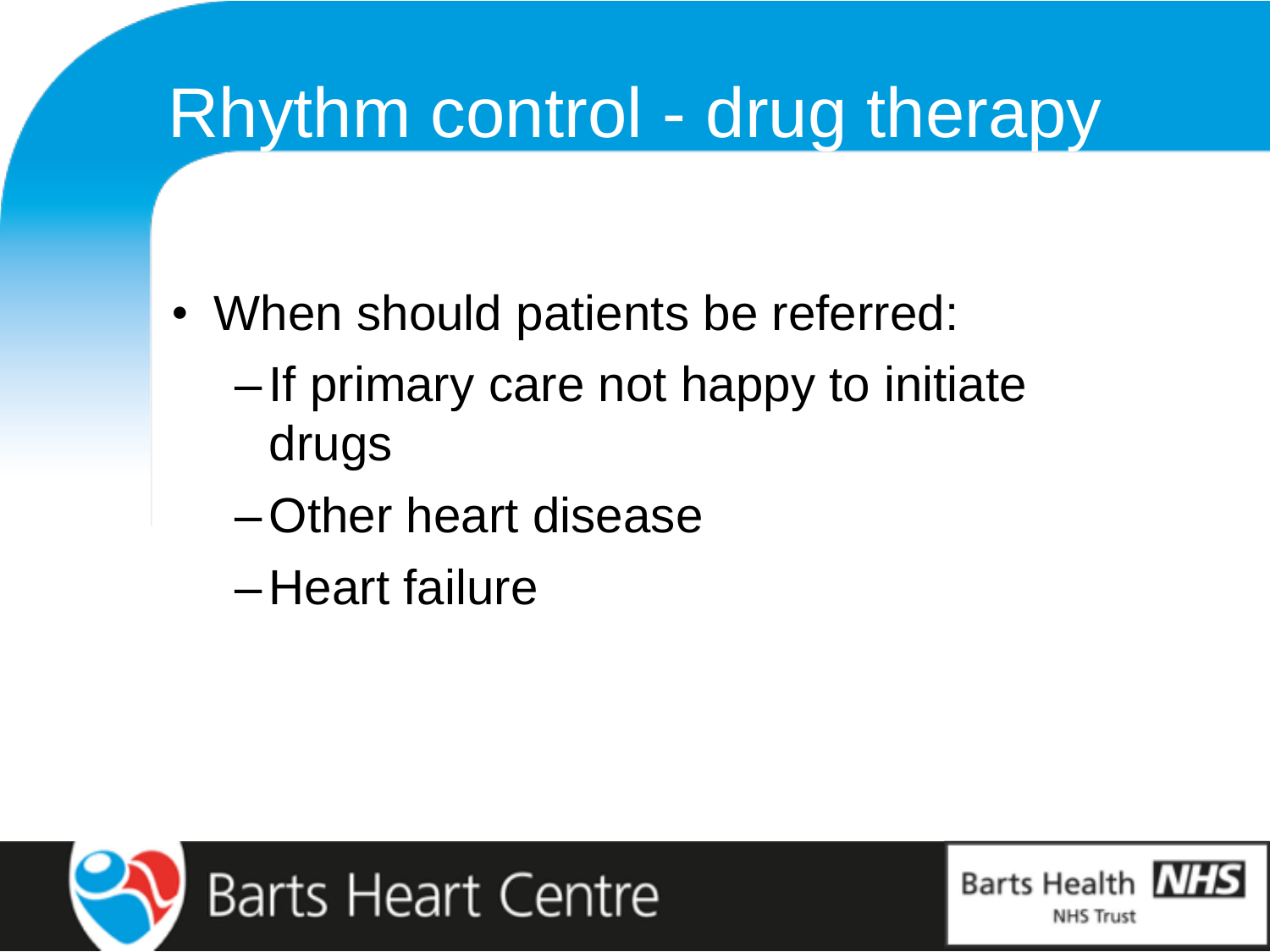## Rhythm control - drug therapy

- When should patients be referred:
	- –If primary care not happy to initiate drugs
	- –Other heart disease
	- –Heart failure



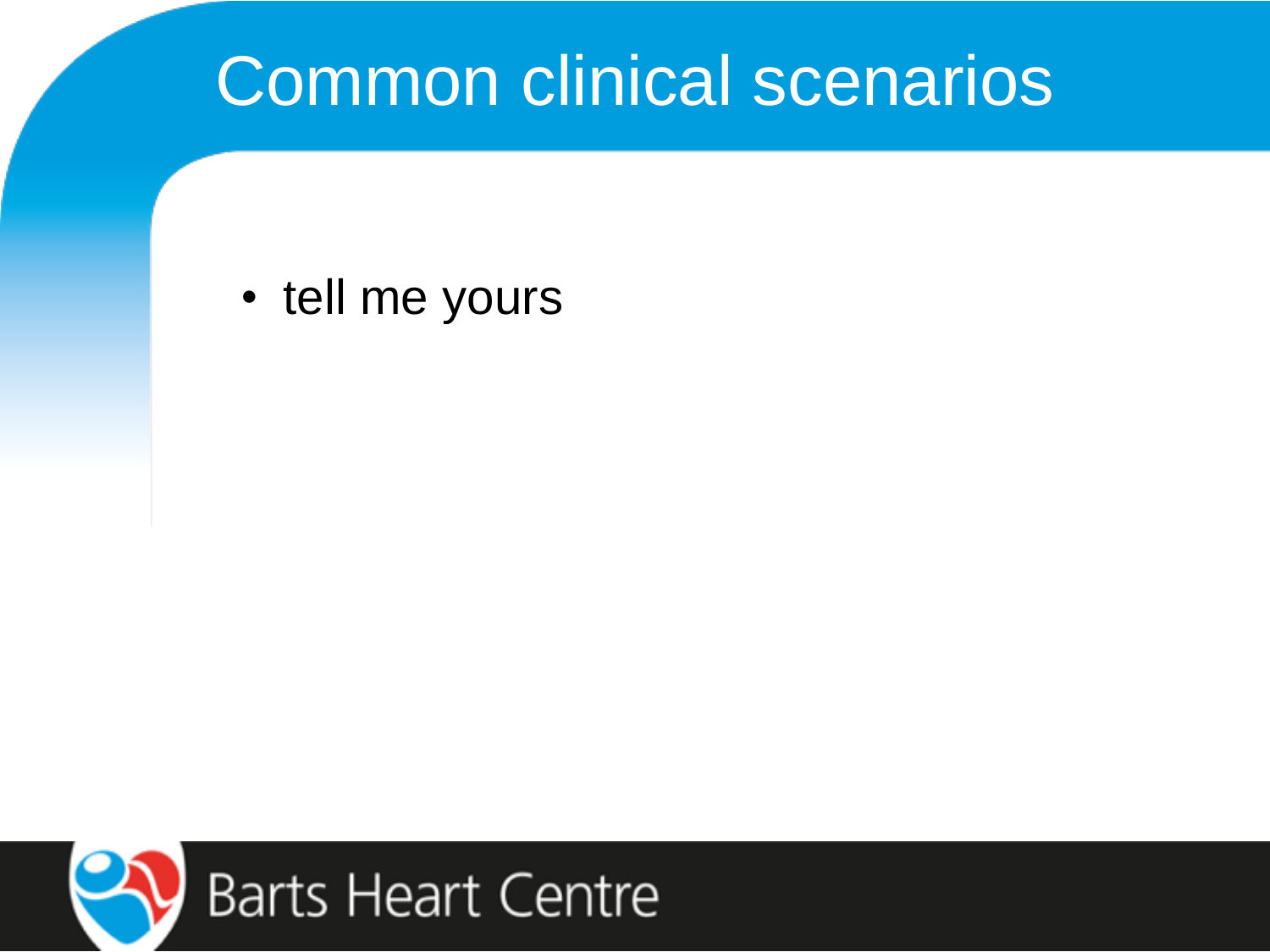## Common clinical scenarios

• tell me yours